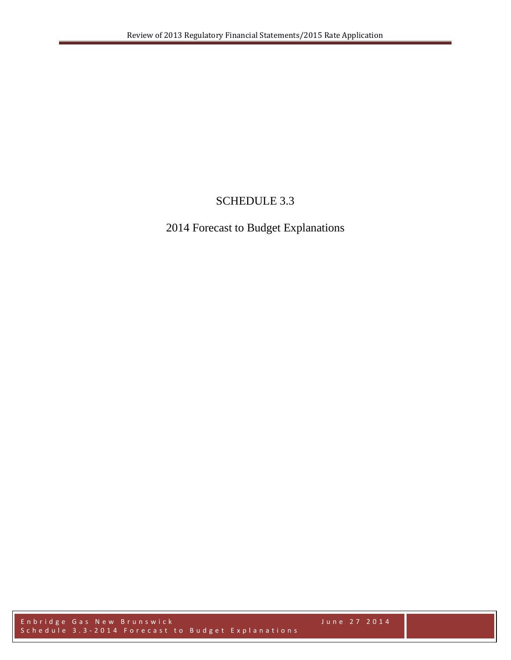# SCHEDULE 3.3

# 2014 Forecast to Budget Explanations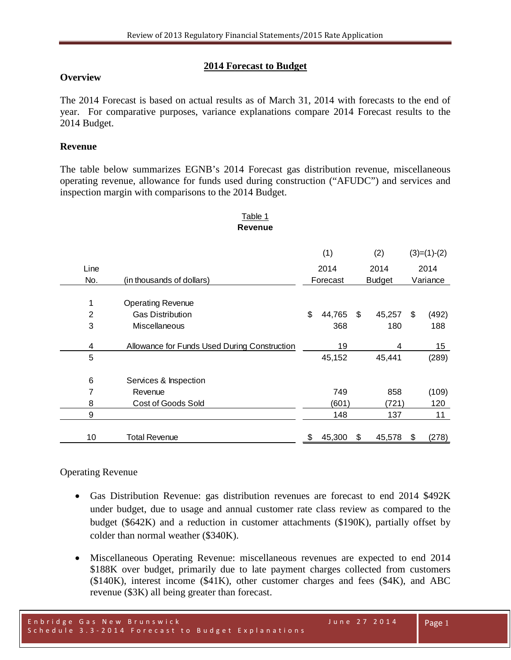#### **2014 Forecast to Budget**

#### **Overview**

The 2014 Forecast is based on actual results as of March 31, 2014 with forecasts to the end of year. For comparative purposes, variance explanations compare 2014 Forecast results to the 2014 Budget.

#### **Revenue**

The table below summarizes EGNB's 2014 Forecast gas distribution revenue, miscellaneous operating revenue, allowance for funds used during construction ("AFUDC") and services and inspection margin with comparisons to the 2014 Budget.

#### Table 1 **Revenue**

|                |                                              | (1) |          |               | (2)    |          | $(3)=(1)-(2)$   |
|----------------|----------------------------------------------|-----|----------|---------------|--------|----------|-----------------|
| Line           |                                              |     | 2014     |               | 2014   |          | 2014            |
| No.            | (in thousands of dollars)                    |     | Forecast | <b>Budget</b> |        | Variance |                 |
| 1              | <b>Operating Revenue</b>                     |     |          |               |        |          |                 |
| $\overline{2}$ | <b>Gas Distribution</b>                      | \$  | 44,765   | \$            | 45,257 | \$       | (492)           |
| 3              | <b>Miscellaneous</b>                         |     | 368      |               | 180    |          | 188             |
| 4              | Allowance for Funds Used During Construction |     | 19       |               | 4      |          | 15 <sub>1</sub> |
| 5              |                                              |     | 45,152   |               | 45,441 |          | (289)           |
| 6              | Services & Inspection                        |     |          |               |        |          |                 |
| 7              | Revenue                                      |     | 749      |               | 858    |          | (109)           |
| 8              | Cost of Goods Sold                           |     | (601)    |               | (721)  |          | 120             |
| 9              |                                              |     | 148      |               | 137    |          | 11              |
| 10             | <b>Total Revenue</b>                         | \$  | 45,300   | \$            | 45,578 | \$       | (278)           |

## Operating Revenue

- Gas Distribution Revenue: gas distribution revenues are forecast to end 2014 \$492K under budget, due to usage and annual customer rate class review as compared to the budget (\$642K) and a reduction in customer attachments (\$190K), partially offset by colder than normal weather (\$340K).
- Miscellaneous Operating Revenue: miscellaneous revenues are expected to end 2014 \$188K over budget, primarily due to late payment charges collected from customers (\$140K), interest income (\$41K), other customer charges and fees (\$4K), and ABC revenue (\$3K) all being greater than forecast.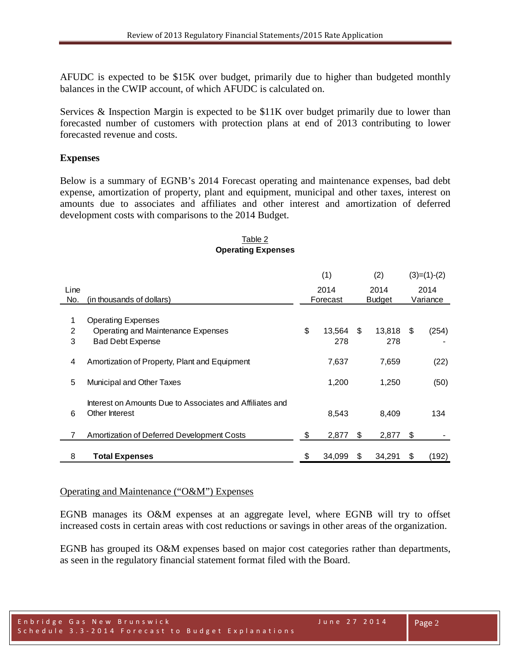AFUDC is expected to be \$15K over budget, primarily due to higher than budgeted monthly balances in the CWIP account, of which AFUDC is calculated on.

Services & Inspection Margin is expected to be \$11K over budget primarily due to lower than forecasted number of customers with protection plans at end of 2013 contributing to lower forecasted revenue and costs.

#### **Expenses**

Below is a summary of EGNB's 2014 Forecast operating and maintenance expenses, bad debt expense, amortization of property, plant and equipment, municipal and other taxes, interest on amounts due to associates and affiliates and other interest and amortization of deferred development costs with comparisons to the 2014 Budget.

|      |                                                          | (1)  |          | (2)  |               |      | $(3)=(1)-(2)$ |
|------|----------------------------------------------------------|------|----------|------|---------------|------|---------------|
| Line |                                                          | 2014 |          | 2014 |               |      | 2014          |
| No.  | (in thousands of dollars)                                |      | Forecast |      | <b>Budget</b> |      | Variance      |
|      |                                                          |      |          |      |               |      |               |
| 1    | <b>Operating Expenses</b>                                |      |          |      |               |      |               |
| 2    | Operating and Maintenance Expenses                       | \$   | 13,564   | - \$ | 13,818        | - \$ | (254)         |
| 3    | <b>Bad Debt Expense</b>                                  |      | 278      |      | 278           |      |               |
|      |                                                          |      |          |      |               |      |               |
| 4    | Amortization of Property, Plant and Equipment            |      | 7,637    |      | 7,659         |      | (22)          |
|      |                                                          |      |          |      |               |      |               |
| 5    | Municipal and Other Taxes                                |      | 1,200    |      | 1,250         |      | (50)          |
|      |                                                          |      |          |      |               |      |               |
|      | Interest on Amounts Due to Associates and Affiliates and |      |          |      |               |      |               |
|      | Other Interest                                           |      |          |      |               |      |               |
| 6    |                                                          |      | 8.543    |      | 8.409         |      | 134           |
|      |                                                          |      |          |      |               |      |               |
| 7    | Amortization of Deferred Development Costs               | S    | 2,877    | S    | 2,877         | \$   |               |
|      |                                                          |      |          |      |               |      |               |
| 8    | <b>Total Expenses</b>                                    | \$   | 34,099   | SS.  | 34,291        | \$   | (192)         |

## Table 2 **Operating Expenses**

#### Operating and Maintenance ("O&M") Expenses

EGNB manages its O&M expenses at an aggregate level, where EGNB will try to offset increased costs in certain areas with cost reductions or savings in other areas of the organization.

EGNB has grouped its O&M expenses based on major cost categories rather than departments, as seen in the regulatory financial statement format filed with the Board.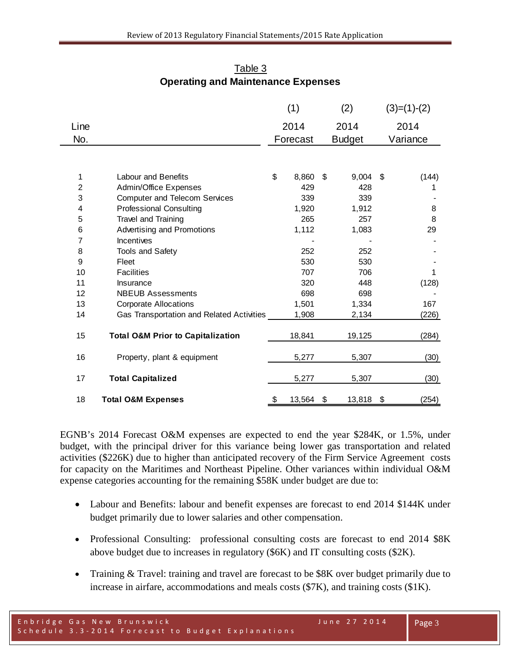|                |                                              | (1)      |        | (2)           |        | $(3)=(1)-(2)$ |          |
|----------------|----------------------------------------------|----------|--------|---------------|--------|---------------|----------|
| Line           |                                              | 2014     |        |               | 2014   |               | 2014     |
| No.            |                                              | Forecast |        | <b>Budget</b> |        |               | Variance |
|                |                                              |          |        |               |        |               |          |
| 1              | <b>Labour and Benefits</b>                   | \$       | 8,860  | \$            | 9,004  | \$            | (144)    |
| $\overline{c}$ | Admin/Office Expenses                        |          | 429    |               | 428    |               | 1        |
| 3              | <b>Computer and Telecom Services</b>         |          | 339    |               | 339    |               |          |
| 4              | <b>Professional Consulting</b>               |          | 1,920  |               | 1,912  |               | 8        |
| 5              | Travel and Training                          |          | 265    |               | 257    |               | 8        |
| 6              | Advertising and Promotions                   |          | 1,112  |               | 1,083  |               | 29       |
| 7              | Incentives                                   |          |        |               |        |               |          |
| 8              | <b>Tools and Safety</b>                      |          | 252    |               | 252    |               |          |
| 9              | Fleet                                        |          | 530    |               | 530    |               |          |
| 10             | <b>Facilities</b>                            |          | 707    |               | 706    |               | 1        |
| 11             | Insurance                                    |          | 320    |               | 448    |               | (128)    |
| 12             | <b>NBEUB Assessments</b>                     |          | 698    |               | 698    |               |          |
| 13             | <b>Corporate Allocations</b>                 |          | 1,501  |               | 1,334  |               | 167      |
| 14             | Gas Transportation and Related Activities    |          | 1,908  |               | 2,134  |               | (226)    |
| 15             | <b>Total O&amp;M Prior to Capitalization</b> |          | 18,841 |               | 19,125 |               | (284)    |
| 16             | Property, plant & equipment                  |          | 5,277  |               | 5,307  |               | (30)     |
| 17             | <b>Total Capitalized</b>                     |          | 5,277  |               | 5,307  |               | (30)     |
| 18             | <b>Total O&amp;M Expenses</b>                | \$       | 13,564 | \$            | 13,818 | \$            | (254)    |

Table 3 **Operating and Maintenance Expenses**

EGNB's 2014 Forecast O&M expenses are expected to end the year \$284K, or 1.5%, under budget, with the principal driver for this variance being lower gas transportation and related activities (\$226K) due to higher than anticipated recovery of the Firm Service Agreement costs for capacity on the Maritimes and Northeast Pipeline. Other variances within individual O&M expense categories accounting for the remaining \$58K under budget are due to:

- Labour and Benefits: labour and benefit expenses are forecast to end 2014 \$144K under budget primarily due to lower salaries and other compensation.
- Professional Consulting: professional consulting costs are forecast to end 2014 \$8K above budget due to increases in regulatory (\$6K) and IT consulting costs (\$2K).
- Training & Travel: training and travel are forecast to be \$8K over budget primarily due to increase in airfare, accommodations and meals costs (\$7K), and training costs (\$1K).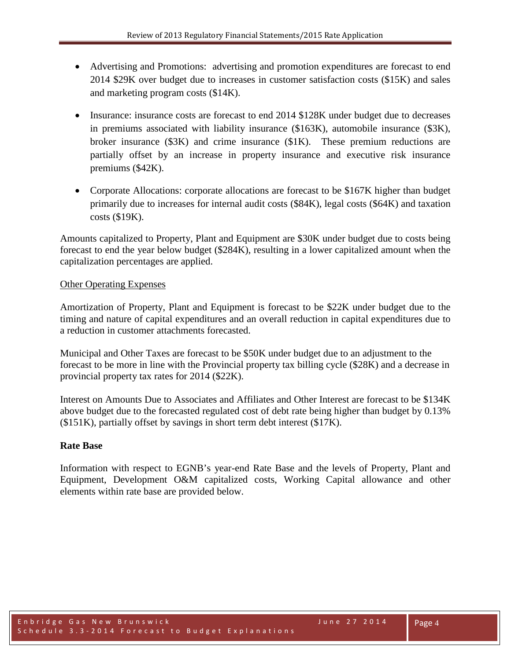- Advertising and Promotions: advertising and promotion expenditures are forecast to end 2014 \$29K over budget due to increases in customer satisfaction costs (\$15K) and sales and marketing program costs (\$14K).
- Insurance: insurance costs are forecast to end 2014 \$128K under budget due to decreases in premiums associated with liability insurance (\$163K), automobile insurance (\$3K), broker insurance (\$3K) and crime insurance (\$1K). These premium reductions are partially offset by an increase in property insurance and executive risk insurance premiums (\$42K).
- Corporate Allocations: corporate allocations are forecast to be \$167K higher than budget primarily due to increases for internal audit costs (\$84K), legal costs (\$64K) and taxation costs (\$19K).

Amounts capitalized to Property, Plant and Equipment are \$30K under budget due to costs being forecast to end the year below budget (\$284K), resulting in a lower capitalized amount when the capitalization percentages are applied.

## Other Operating Expenses

Amortization of Property, Plant and Equipment is forecast to be \$22K under budget due to the timing and nature of capital expenditures and an overall reduction in capital expenditures due to a reduction in customer attachments forecasted.

Municipal and Other Taxes are forecast to be \$50K under budget due to an adjustment to the forecast to be more in line with the Provincial property tax billing cycle (\$28K) and a decrease in provincial property tax rates for 2014 (\$22K).

Interest on Amounts Due to Associates and Affiliates and Other Interest are forecast to be \$134K above budget due to the forecasted regulated cost of debt rate being higher than budget by 0.13% (\$151K), partially offset by savings in short term debt interest (\$17K).

## **Rate Base**

Information with respect to EGNB's year-end Rate Base and the levels of Property, Plant and Equipment, Development O&M capitalized costs, Working Capital allowance and other elements within rate base are provided below.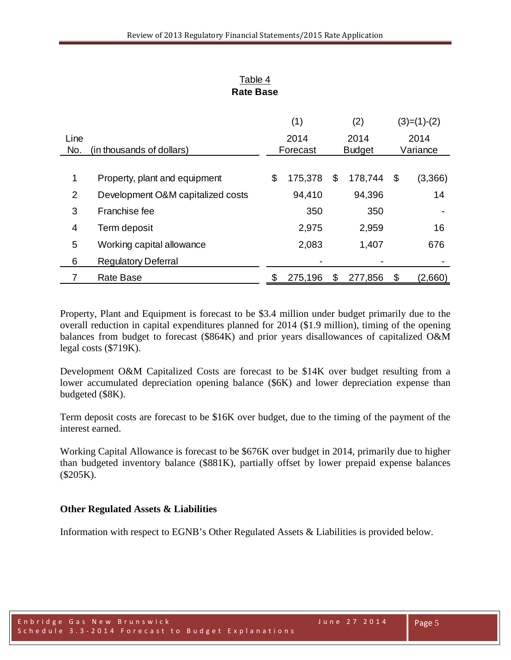| Table 4          |
|------------------|
| <b>Rate Base</b> |

|      |                                   |          | (1)     | (2)           |    | $(3)=(1)-(2)$ |
|------|-----------------------------------|----------|---------|---------------|----|---------------|
| Line |                                   |          | 2014    | 2014          |    | 2014          |
| No.  | (in thousands of dollars)         | Forecast |         | <b>Budget</b> |    | Variance      |
|      |                                   |          |         |               |    |               |
| 1    | Property, plant and equipment     | \$       | 175,378 | \$<br>178,744 | \$ | (3,366)       |
| 2    | Development O&M capitalized costs |          | 94,410  | 94,396        |    | 14            |
| 3    | Franchise fee                     |          | 350     | 350           |    |               |
| 4    | Term deposit                      |          | 2,975   | 2,959         |    | 16            |
| 5    | Working capital allowance         |          | 2,083   | 1,407         |    | 676           |
| 6    | <b>Regulatory Deferral</b>        |          |         |               |    |               |
|      | <b>Rate Base</b>                  |          | 275,196 | \$<br>277,856 | \$ | (2,660)       |

Property, Plant and Equipment is forecast to be \$3.4 million under budget primarily due to the overall reduction in capital expenditures planned for 2014 (\$1.9 million), timing of the opening balances from budget to forecast (\$864K) and prior years disallowances of capitalized O&M legal costs (\$719K).

Development O&M Capitalized Costs are forecast to be \$14K over budget resulting from a lower accumulated depreciation opening balance (\$6K) and lower depreciation expense than budgeted (\$8K).

Term deposit costs are forecast to be \$16K over budget, due to the timing of the payment of the interest earned.

Working Capital Allowance is forecast to be \$676K over budget in 2014, primarily due to higher than budgeted inventory balance (\$881K), partially offset by lower prepaid expense balances (\$205K).

## **Other Regulated Assets & Liabilities**

Information with respect to EGNB's Other Regulated Assets & Liabilities is provided below.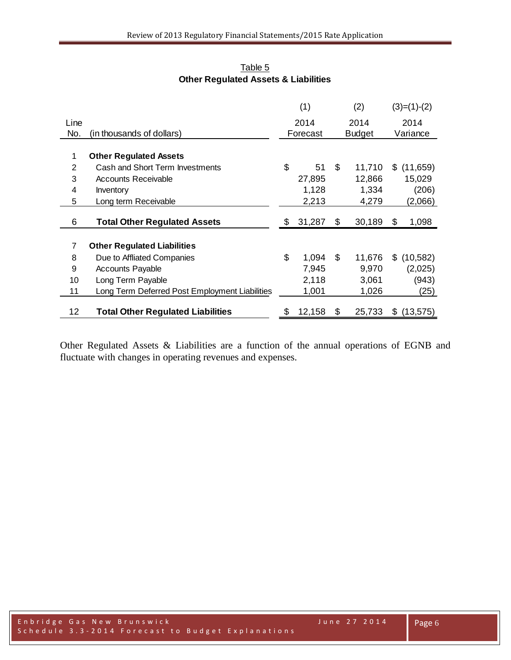|                |                                                | (1)          |    | (2)           |    | $(3)=(1)-(2)$ |
|----------------|------------------------------------------------|--------------|----|---------------|----|---------------|
| Line           |                                                | 2014         |    | 2014          |    | 2014          |
| No.            | (in thousands of dollars)                      | Forecast     |    | <b>Budget</b> |    | Variance      |
|                |                                                |              |    |               |    |               |
| 1              | <b>Other Regulated Assets</b>                  |              |    |               |    |               |
| $\overline{2}$ | Cash and Short Term Investments                | \$<br>51     | \$ | 11,710        | S. | (11,659)      |
| 3              | <b>Accounts Receivable</b>                     | 27,895       |    | 12,866        |    | 15,029        |
| 4              | Inventory                                      | 1,128        |    | 1,334         |    | (206)         |
| 5              | Long term Receivable                           | 2,213        |    | 4,279         |    | (2,066)       |
| 6              | <b>Total Other Regulated Assets</b>            | \$<br>31,287 | \$ | 30,189        | \$ | 1,098         |
|                |                                                |              |    |               |    |               |
| $\overline{7}$ | <b>Other Regulated Liabilities</b>             |              |    |               |    |               |
| 8              | Due to Affliated Companies                     | \$<br>1,094  | \$ | 11,676        | \$ | (10, 582)     |
| 9              | <b>Accounts Payable</b>                        | 7,945        |    | 9,970         |    | (2,025)       |
| 10             | Long Term Payable                              | 2,118        |    | 3,061         |    | (943)         |
| 11             | Long Term Deferred Post Employment Liabilities | 1,001        |    | 1,026         |    | (25)          |
| 12             | <b>Total Other Regulated Liabilities</b>       | \$<br>12,158 | S  | 25,733        | \$ | (13, 575)     |

Table 5 **Other Regulated Assets & Liabilities**

Other Regulated Assets & Liabilities are a function of the annual operations of EGNB and fluctuate with changes in operating revenues and expenses.